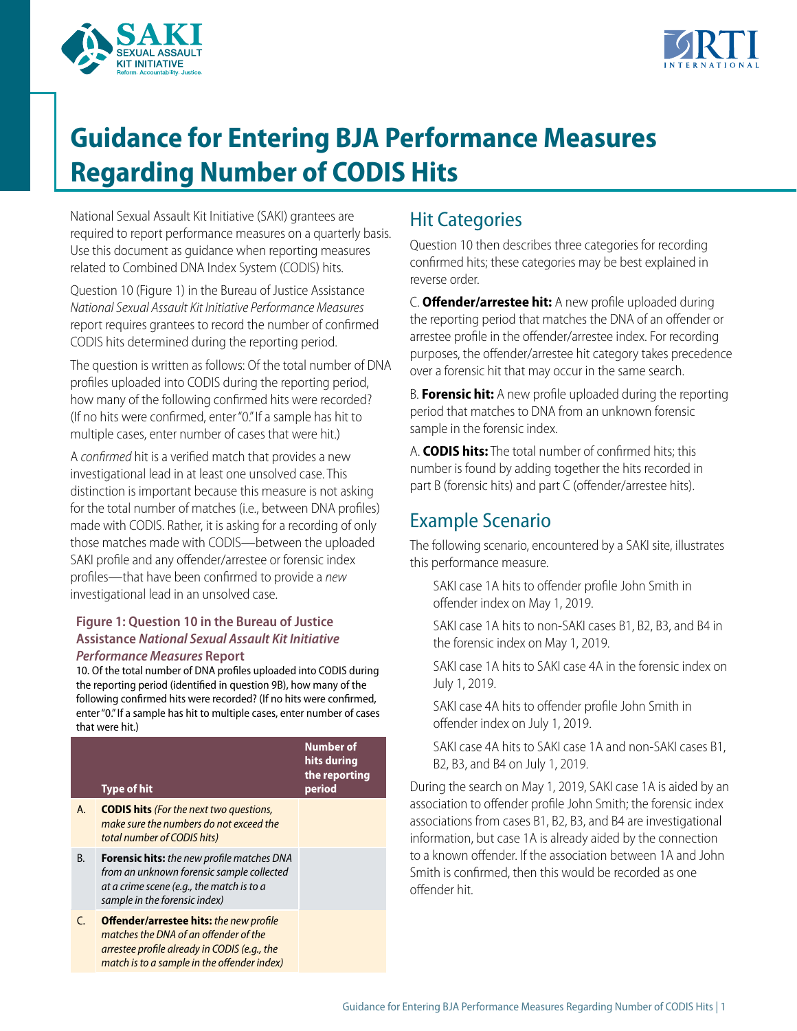



## **Guidance for Entering BJA Performance Measures Regarding Number of CODIS Hits**

National Sexual Assault Kit Initiative (SAKI) grantees are required to report performance measures on a quarterly basis. Use this document as guidance when reporting measures related to Combined DNA Index System (CODIS) hits.

Question 10 (Figure 1) in the Bureau of Justice Assistance *National Sexual Assault Kit Initiative Performance Measures*  report requires grantees to record the number of confrmed CODIS hits determined during the reporting period.

The question is written as follows: Of the total number of DNA profles uploaded into CODIS during the reporting period, how many of the following confrmed hits were recorded? (If no hits were confrmed, enter "0." If a sample has hit to multiple cases, enter number of cases that were hit.)

A *confrmed* hit is a verifed match that provides a new investigational lead in at least one unsolved case. This distinction is important because this measure is not asking for the total number of matches (i.e., between DNA profles) made with CODIS. Rather, it is asking for a recording of only those matches made with CODIS—between the uploaded SAKI profile and any offender/arrestee or forensic index profles—that have been confrmed to provide a *new*  investigational lead in an unsolved case.

## **Figure 1: Question 10 in the Bureau of Justice Assistance** *National Sexual Assault Kit Initiative Performance Measures* **Report**

10. Of the total number of DNA profles uploaded into CODIS during the reporting period (identifed in question 9B), how many of the following confrmed hits were recorded? (If no hits were confrmed, enter "0." If a sample has hit to multiple cases, enter number of cases that were hit.)

|    | <b>Type of hit</b>                                                                                                                                                                     | <b>Number of</b><br>hits during<br>the reporting<br>period |
|----|----------------------------------------------------------------------------------------------------------------------------------------------------------------------------------------|------------------------------------------------------------|
| А. | <b>CODIS hits</b> (For the next two questions,<br>make sure the numbers do not exceed the<br>total number of CODIS hits)                                                               |                                                            |
| В. | <b>Forensic hits:</b> the new profile matches DNA<br>from an unknown forensic sample collected<br>at a crime scene (e.g., the match is to a<br>sample in the forensic index)           |                                                            |
| C  | <b>Offender/arrestee hits:</b> the new profile<br>matches the DNA of an offender of the<br>arrestee profile already in CODIS (e.g., the<br>match is to a sample in the offender index) |                                                            |

## Hit Categories

Question 10 then describes three categories for recording confrmed hits; these categories may be best explained in reverse order.

C. **Ofender/arrestee hit:** A new profle uploaded during the reporting period that matches the DNA of an ofender or arrestee profile in the offender/arrestee index. For recording purposes, the offender/arrestee hit category takes precedence over a forensic hit that may occur in the same search.

B. **Forensic hit:** A new profle uploaded during the reporting period that matches to DNA from an unknown forensic sample in the forensic index.

A. **CODIS hits:** The total number of confrmed hits; this number is found by adding together the hits recorded in part B (forensic hits) and part C (offender/arrestee hits).

## Example Scenario

The following scenario, encountered by a SAKI site, illustrates this performance measure.

- SAKI case 1A hits to offender profile John Smith in ofender index on May 1, 2019.
- SAKI case 1A hits to non-SAKI cases B1, B2, B3, and B4 in the forensic index on May 1, 2019.

SAKI case 1A hits to SAKI case 4A in the forensic index on July 1, 2019.

SAKI case 4A hits to offender profile John Smith in ofender index on July 1, 2019.

SAKI case 4A hits to SAKI case 1A and non-SAKI cases B1, B2, B3, and B4 on July 1, 2019.

During the search on May 1, 2019, SAKI case 1A is aided by an association to ofender profle John Smith; the forensic index associations from cases B1, B2, B3, and B4 are investigational information, but case 1A is already aided by the connection to a known ofender. If the association between 1A and John Smith is confrmed, then this would be recorded as one ofender hit.